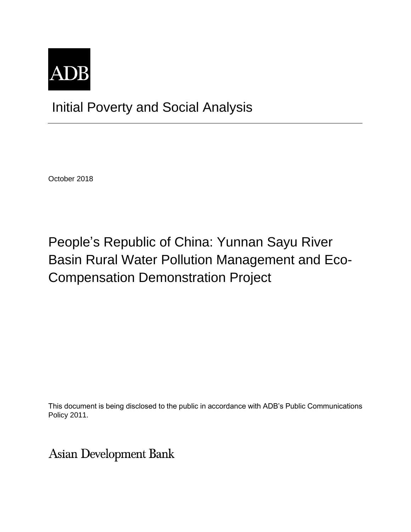

Initial Poverty and Social Analysis

October 2018

# People's Republic of China: Yunnan Sayu River Basin Rural Water Pollution Management and Eco-Compensation Demonstration Project

This document is being disclosed to the public in accordance with ADB's Public Communications Policy 2011.

**Asian Development Bank**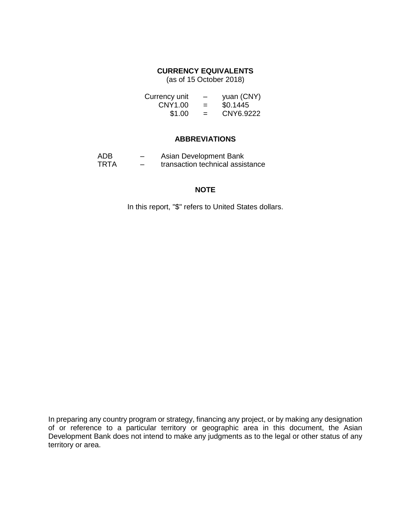## **CURRENCY EQUIVALENTS**

(as of 15 October 2018)

| Currency unit | -   | yuan (CNY) |
|---------------|-----|------------|
| CNY1.00       | $=$ | \$0.1445   |
| \$1.00        | $=$ | CNY6.9222  |

#### **ABBREVIATIONS**

| ADB. | – | Asian Development Bank           |
|------|---|----------------------------------|
| TRTA | - | transaction technical assistance |

## **NOTE**

In this report, "\$" refers to United States dollars.

In preparing any country program or strategy, financing any project, or by making any designation of or reference to a particular territory or geographic area in this document, the Asian Development Bank does not intend to make any judgments as to the legal or other status of any territory or area.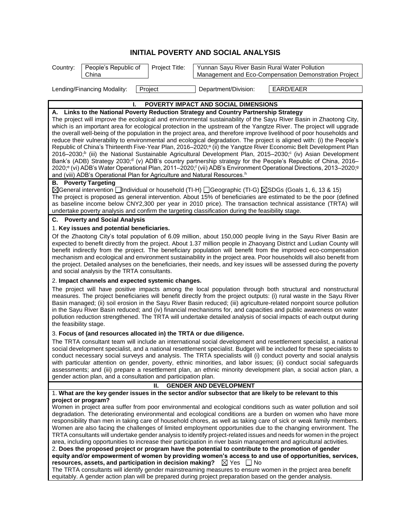# **INITIAL POVERTY AND SOCIAL ANALYSIS**

| Country: | People's Republic of<br>China | Project Title: | Yunnan Sayu River Basin Rural Water Pollution | Management and Eco-Compensation Demonstration Project |
|----------|-------------------------------|----------------|-----------------------------------------------|-------------------------------------------------------|
|          | Lending/Financing Modality:   | Project        | Department/Division:                          | EARD/EAER                                             |

**I. POVERTY IMPACT AND SOCIAL DIMENSIONS**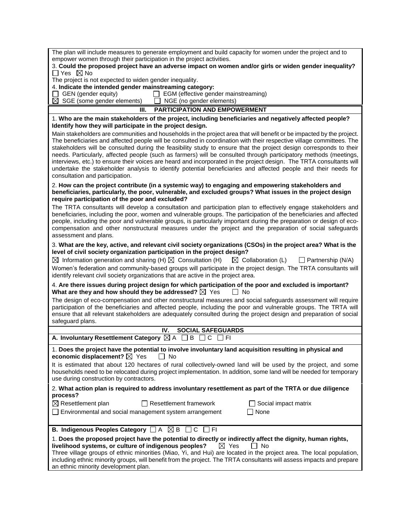| empower women through their participation in the project activities.<br>3. Could the proposed project have an adverse impact on women and/or girls or widen gender inequality?                                                                                                                                                                                                                                                                                                                                                                                                                                                                                                                                                                                         |
|------------------------------------------------------------------------------------------------------------------------------------------------------------------------------------------------------------------------------------------------------------------------------------------------------------------------------------------------------------------------------------------------------------------------------------------------------------------------------------------------------------------------------------------------------------------------------------------------------------------------------------------------------------------------------------------------------------------------------------------------------------------------|
| $\Box$ Yes $\boxtimes$ No                                                                                                                                                                                                                                                                                                                                                                                                                                                                                                                                                                                                                                                                                                                                              |
| The project is not expected to widen gender inequality.                                                                                                                                                                                                                                                                                                                                                                                                                                                                                                                                                                                                                                                                                                                |
| 4. Indicate the intended gender mainstreaming category:                                                                                                                                                                                                                                                                                                                                                                                                                                                                                                                                                                                                                                                                                                                |
| GEN (gender equity)<br>$\Box$ EGM (effective gender mainstreaming)<br>$\boxtimes$<br>SGE (some gender elements)                                                                                                                                                                                                                                                                                                                                                                                                                                                                                                                                                                                                                                                        |
| NGE (no gender elements)<br><b>PARTICIPATION AND EMPOWERMENT</b><br>Ш.                                                                                                                                                                                                                                                                                                                                                                                                                                                                                                                                                                                                                                                                                                 |
| 1. Who are the main stakeholders of the project, including beneficiaries and negatively affected people?                                                                                                                                                                                                                                                                                                                                                                                                                                                                                                                                                                                                                                                               |
| Identify how they will participate in the project design.                                                                                                                                                                                                                                                                                                                                                                                                                                                                                                                                                                                                                                                                                                              |
| Main stakeholders are communities and households in the project area that will benefit or be impacted by the project.<br>The beneficiaries and affected people will be consulted in coordination with their respective village committees. The<br>stakeholders will be consulted during the feasibility study to ensure that the project design corresponds to their<br>needs. Particularly, affected people (such as farmers) will be consulted through participatory methods (meetings,<br>interviews, etc.) to ensure their voices are heard and incorporated in the project design. The TRTA consultants will<br>undertake the stakeholder analysis to identify potential beneficiaries and affected people and their needs for<br>consultation and participation. |
| 2. How can the project contribute (in a systemic way) to engaging and empowering stakeholders and<br>beneficiaries, particularly, the poor, vulnerable, and excluded groups? What issues in the project design<br>require participation of the poor and excluded?                                                                                                                                                                                                                                                                                                                                                                                                                                                                                                      |
| The TRTA consultants will develop a consultation and participation plan to effectively engage stakeholders and<br>beneficiaries, including the poor, women and vulnerable groups. The participation of the beneficiaries and affected<br>people, including the poor and vulnerable groups, is particularly important during the preparation or design of eco-<br>compensation and other nonstructural measures under the project and the preparation of social safeguards<br>assessment and plans.                                                                                                                                                                                                                                                                     |
| 3. What are the key, active, and relevant civil society organizations (CSOs) in the project area? What is the<br>level of civil society organization participation in the project design?                                                                                                                                                                                                                                                                                                                                                                                                                                                                                                                                                                              |
| $\boxtimes$ Information generation and sharing (H) $\boxtimes$ Consultation (H)<br>$\boxtimes$ Collaboration (L)<br>$\Box$ Partnership (N/A)                                                                                                                                                                                                                                                                                                                                                                                                                                                                                                                                                                                                                           |
| Women's federation and community-based groups will participate in the project design. The TRTA consultants will<br>identify relevant civil society organizations that are active in the project area.                                                                                                                                                                                                                                                                                                                                                                                                                                                                                                                                                                  |
| 4. Are there issues during project design for which participation of the poor and excluded is important?<br>What are they and how should they be addressed? $\boxtimes$ Yes<br>l No                                                                                                                                                                                                                                                                                                                                                                                                                                                                                                                                                                                    |
| The design of eco-compensation and other nonstructural measures and social safeguards assessment will require<br>participation of the beneficiaries and affected people, including the poor and vulnerable groups. The TRTA will<br>ensure that all relevant stakeholders are adequately consulted during the project design and preparation of social<br>safeguard plans.                                                                                                                                                                                                                                                                                                                                                                                             |
| IV.<br><b>SOCIAL SAFEGUARDS</b>                                                                                                                                                                                                                                                                                                                                                                                                                                                                                                                                                                                                                                                                                                                                        |
| A. Involuntary Resettlement Category <b><math>\boxtimes</math> A</b><br>B<br>C<br>$\Box$ FI                                                                                                                                                                                                                                                                                                                                                                                                                                                                                                                                                                                                                                                                            |
| 1. Does the project have the potential to involve involuntary land acquisition resulting in physical and<br>economic displacement? X Yes<br>No                                                                                                                                                                                                                                                                                                                                                                                                                                                                                                                                                                                                                         |
| It is estimated that about 120 hectares of rural collectively-owned land will be used by the project, and some<br>households need to be relocated during project implementation. In addition, some land will be needed for temporary<br>use during construction by contractors.                                                                                                                                                                                                                                                                                                                                                                                                                                                                                        |
| 2. What action plan is required to address involuntary resettlement as part of the TRTA or due diligence<br>process?                                                                                                                                                                                                                                                                                                                                                                                                                                                                                                                                                                                                                                                   |
| $\boxtimes$ Resettlement plan<br>Resettlement framework<br>Social impact matrix                                                                                                                                                                                                                                                                                                                                                                                                                                                                                                                                                                                                                                                                                        |
| None<br>Environmental and social management system arrangement                                                                                                                                                                                                                                                                                                                                                                                                                                                                                                                                                                                                                                                                                                         |
| B. Indigenous Peoples Category $\Box A \boxtimes B \Box C \Box F$                                                                                                                                                                                                                                                                                                                                                                                                                                                                                                                                                                                                                                                                                                      |
| 1. Does the proposed project have the potential to directly or indirectly affect the dignity, human rights,                                                                                                                                                                                                                                                                                                                                                                                                                                                                                                                                                                                                                                                            |
| livelihood systems, or culture of indigenous peoples?<br>$\boxtimes$ Yes<br>No                                                                                                                                                                                                                                                                                                                                                                                                                                                                                                                                                                                                                                                                                         |
| Three village groups of ethnic minorities (Miao, Yi, and Hui) are located in the project area. The local population,<br>including ethnic minority groups, will benefit from the project. The TRTA consultants will assess impacts and prepare<br>an ethnic minority development plan.                                                                                                                                                                                                                                                                                                                                                                                                                                                                                  |